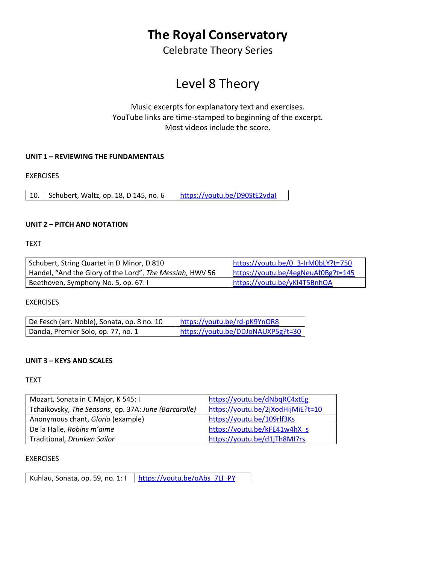# **The Royal Conservatory**

Celebrate Theory Series

# Level 8 Theory

# Music excerpts for explanatory text and exercises. YouTube links are time-stamped to beginning of the excerpt. Most videos include the score.

# **UNIT 1 – REVIEWING THE FUNDAMENTALS**

EXERCISES

10. Schubert, Waltz, op. 18, D 145, no. 6 https://youtu.be/D90StE2vdal

# **UNIT 2 – PITCH AND NOTATION**

TEXT

| Schubert, String Quartet in D Minor, D 810               | https://youtu.be/0 3-IrM0bLY?t=750 |
|----------------------------------------------------------|------------------------------------|
| Handel, "And the Glory of the Lord", The Messiah, HWV 56 | https://youtu.be/4egNeuAf0Bg?t=145 |
| Beethoven, Symphony No. 5, op. 67:1                      | https://youtu.be/yKl4T5BnhOA       |

EXERCISES

| De Fesch (arr. Noble), Sonata, op. 8 no. 10 | https://youtu.be/rd-pK9YnOR8      |
|---------------------------------------------|-----------------------------------|
| Dancla, Premier Solo, op. 77, no. 1         | https://youtu.be/DDJoNAUXP5g?t=30 |

### **UNIT 3 – KEYS AND SCALES**

**TEXT** 

| Mozart, Sonata in C Major, K 545: I                  | https://youtu.be/dNbqRC4xtEg      |
|------------------------------------------------------|-----------------------------------|
| Tchaikovsky, The Seasons, op. 37A: June (Barcarolle) | https://youtu.be/2jXodHijMiE?t=10 |
| Anonymous chant, Gloria (example)                    | https://youtu.be/109rlf3Ks        |
| De la Halle, Robins m'aime                           | https://youtu.be/kFE41w4hX s      |
| Traditional, Drunken Sailor                          | https://youtu.be/d1jTh8MI7rs      |

### EXERCISES

Kuhlau, Sonata, op. 59, no. 1:  $\vert$  [https://youtu.be/qAbs\\_7LI\\_PY](https://youtu.be/qAbs_7LI_PY)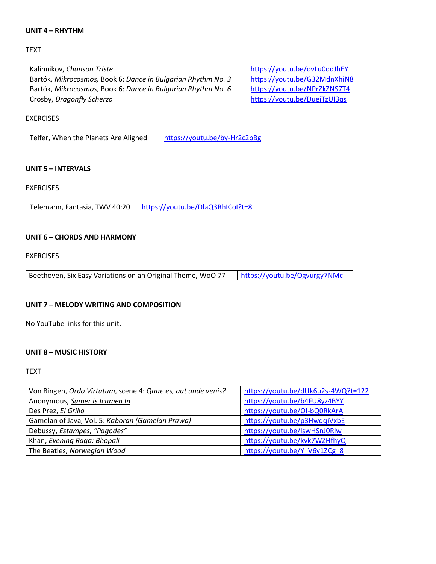#### **UNIT 4 – RHYTHM**

TEXT

| Kalinnikov, Chanson Triste                                   | https://youtu.be/ovLu0ddJhEY |
|--------------------------------------------------------------|------------------------------|
| Bartók, Mikrocosmos, Book 6: Dance in Bulgarian Rhythm No. 3 | https://youtu.be/G32MdnXhiN8 |
| Bartók, Mikrocosmos, Book 6: Dance in Bulgarian Rhythm No. 6 | https://youtu.be/NPrZkZNS7T4 |
| Crosby, Dragonfly Scherzo                                    | https://youtu.be/DuejTzUI3qs |

#### EXERCISES

| Telfer, When the Planets Are Aligned | https://youtu.be/by-Hr2c2pBg |
|--------------------------------------|------------------------------|
|--------------------------------------|------------------------------|

#### **UNIT 5 – INTERVALS**

EXERCISES

Telemann, Fantasia, TWV 40:20 | https://youtu.be/DlaQ3RhICol?t=8

#### **UNIT 6 – CHORDS AND HARMONY**

**EXERCISES** 

### **UNIT 7 – MELODY WRITING AND COMPOSITION**

No YouTube links for this unit.

### **UNIT 8 – MUSIC HISTORY**

TEXT

| Von Bingen, Ordo Virtutum, scene 4: Quae es, aut unde venis? | https://youtu.be/dUk6u2s-4WQ?t=122 |
|--------------------------------------------------------------|------------------------------------|
| Anonymous, Sumer Is Icumen In                                | https://youtu.be/b4FU8yz4BYY       |
| Des Prez, El Grillo                                          | https://youtu.be/OI-bQ0RkArA       |
| Gamelan of Java, Vol. 5: Kaboran (Gamelan Prawa)             | https://youtu.be/p3HwqqiVxbE       |
| Debussy, Estampes, "Pagodes"                                 | https://youtu.be/lswHSnJ0Rlw       |
| Khan, Evening Raga: Bhopali                                  | https://youtu.be/kvk7WZHfhyQ       |
| The Beatles, Norwegian Wood                                  | https://youtu.be/Y V6y1ZCg 8       |